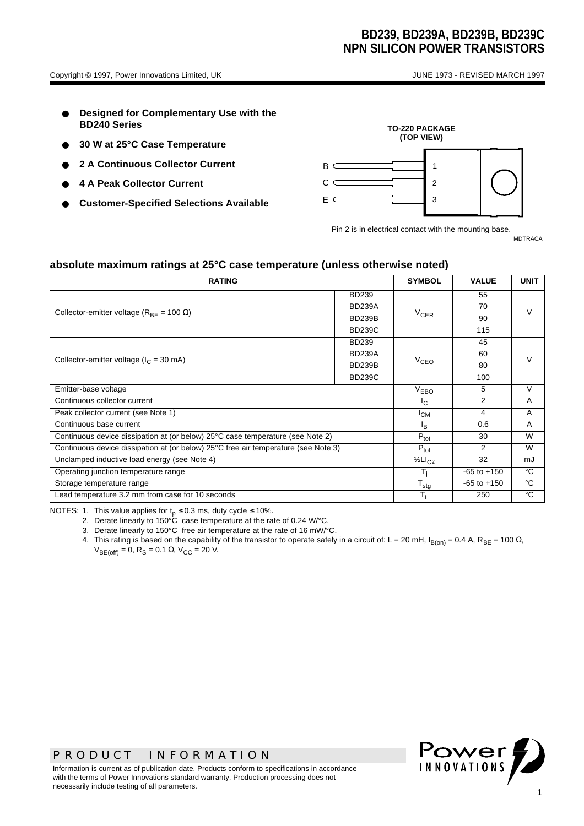- **Designed for Complementary Use with the BD240 Series**
- **30 W at 25°C Case Temperature**
- **2 A Continuous Collector Current**
- **4 A Peak Collector Current**
- **Customer-Specified Selections Available**



Pin 2 is in electrical contact with the mounting base. MDTRACA

**absolute maximum ratings at 25°C case temperature (unless otherwise noted)**

| <b>RATING</b>                                                                      |                           |                 | <b>VALUE</b>  | <b>UNIT</b> |  |
|------------------------------------------------------------------------------------|---------------------------|-----------------|---------------|-------------|--|
|                                                                                    | <b>BD239</b>              |                 | 55            |             |  |
| Collector-emitter voltage ( $R_{BF}$ = 100 $\Omega$ )                              | <b>BD239A</b>             |                 | 70            | V           |  |
|                                                                                    | <b>BD239B</b>             | $V_{CFR}$       | 90            |             |  |
|                                                                                    | <b>BD239C</b>             |                 | 115           |             |  |
|                                                                                    | <b>BD239</b>              |                 | 45            |             |  |
| Collector-emitter voltage ( $I_C$ = 30 mA)                                         | <b>BD239A</b>             |                 | 60            |             |  |
|                                                                                    | <b>BD239B</b>             | $V_{CEO}$       | 80            |             |  |
|                                                                                    | <b>BD239C</b>             |                 | 100           |             |  |
| Emitter-base voltage                                                               |                           |                 | 5             | V           |  |
| Continuous collector current                                                       | $I_{\rm C}$               | 2               | A             |             |  |
| Peak collector current (see Note 1)                                                | $I_{CM}$                  | 4               | Α             |             |  |
| Continuous base current                                                            | $\mathsf{I}_{\mathsf{B}}$ | 0.6             | Α             |             |  |
| Continuous device dissipation at (or below) 25°C case temperature (see Note 2)     | $P_{\text{tot}}$          | 30              | W             |             |  |
| Continuous device dissipation at (or below) 25°C free air temperature (see Note 3) |                           |                 | $\mathcal{P}$ | W           |  |
| Unclamped inductive load energy (see Note 4)                                       |                           |                 | 32            | mJ          |  |
| Operating junction temperature range                                               | T.                        | $-65$ to $+150$ | °C            |             |  |
| Storage temperature range                                                          | $T_{\text{stg}}$          | $-65$ to $+150$ | °C            |             |  |
| Lead temperature 3.2 mm from case for 10 seconds                                   | $T_{L}$                   | 250             | °C            |             |  |

NOTES: 1. This value applies for  $t_p \le 0.3$  ms, duty cycle  $\le 10\%$ .

2. Derate linearly to 150°C case temperature at the rate of 0.24 W/°C.

3. Derate linearly to 150°C free air temperature at the rate of 16 mW/°C.

4. This rating is based on the capability of the transistor to operate safely in a circuit of: L = 20 mH, I<sub>B(on)</sub> = 0.4 A, R<sub>BE</sub> = 100 Ω,  $V_{BE(off)} = 0$ , R<sub>S</sub> = 0.1 Ω, V<sub>CC</sub> = 20 V.



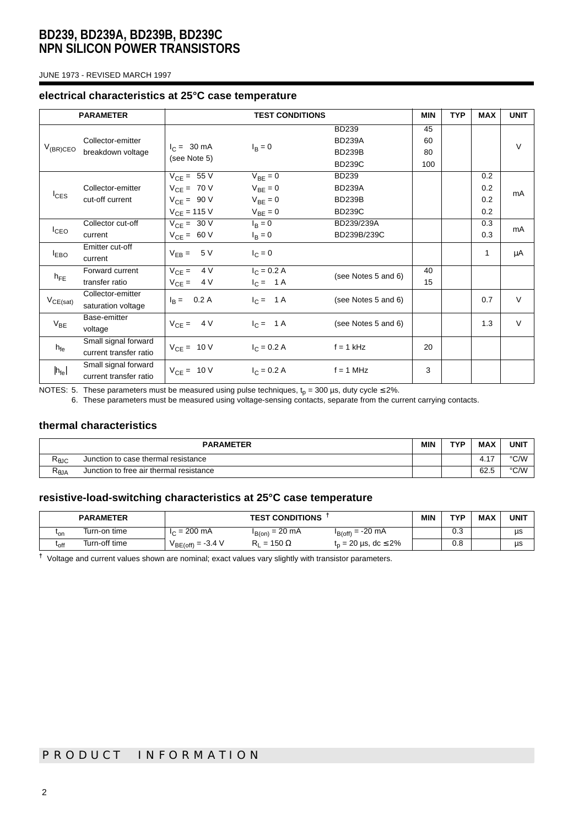JUNE 1973 - REVISED MARCH 1997

#### **electrical characteristics at 25°C case temperature**

|                  | <b>PARAMETER</b><br><b>TEST CONDITIONS</b>     |                                                                           |                                                              | <b>MIN</b>                                                      | <b>TYP</b>            | <b>MAX</b> | <b>UNIT</b>              |              |
|------------------|------------------------------------------------|---------------------------------------------------------------------------|--------------------------------------------------------------|-----------------------------------------------------------------|-----------------------|------------|--------------------------|--------------|
| $V_{(BR)CEO}$    | Collector-emitter<br>breakdown voltage         | $I_C = 30 \text{ mA}$<br>(see Note 5)                                     | $I_{\rm B} = 0$                                              | <b>BD239</b><br><b>BD239A</b><br><b>BD239B</b><br><b>BD239C</b> | 45<br>60<br>80<br>100 |            |                          | $\vee$       |
| <sup>I</sup> CES | Collector-emitter<br>cut-off current           | $V_{CE} = 55 V$<br>$V_{CF} = 70 V$<br>$V_{CE} = 90 V$<br>$V_{CE} = 115 V$ | $V_{BE} = 0$<br>$V_{BF} = 0$<br>$V_{BE} = 0$<br>$V_{BE} = 0$ | <b>BD239</b><br><b>BD239A</b><br><b>BD239B</b><br><b>BD239C</b> |                       |            | 0.2<br>0.2<br>0.2<br>0.2 | mA           |
| $I_{\text{CEO}}$ | Collector cut-off<br>current                   | $V_{CE} = 30 V$<br>$V_{CE} = 60 V$                                        | $I_B = 0$<br>$I_B = 0$                                       | BD239/239A<br>BD239B/239C                                       |                       |            | 0.3<br>0.3               | mA           |
| $I_{EBO}$        | Emitter cut-off<br>current                     | $V_{EB} = 5 V$                                                            | $I_C = 0$                                                    |                                                                 |                       |            | $\mathbf{1}$             | μA           |
| $h_{FE}$         | Forward current<br>transfer ratio              | $V_{CE} = 4V$<br>$V_{CE} = 4V$                                            | $I_C = 0.2 A$<br>$I_C = 1 A$                                 | (see Notes 5 and 6)                                             | 40<br>15              |            |                          |              |
| $V_{CE(sat)}$    | Collector-emitter<br>saturation voltage        | $I_R = 0.2 A$                                                             | $I_C = 1A$                                                   | (see Notes 5 and 6)                                             |                       |            | 0.7                      | $\vee$       |
| $V_{BE}$         | Base-emitter<br>voltage                        | $V_{CE} = 4V$                                                             | $I_C = 1A$                                                   | (see Notes 5 and 6)                                             |                       |            | 1.3                      | $\mathsf{V}$ |
| $h_{fe}$         | Small signal forward<br>current transfer ratio | $V_{CE} = 10 V$                                                           | $I_C = 0.2 A$                                                | $f = 1$ kHz                                                     | 20                    |            |                          |              |
| $ h_{fe} $       | Small signal forward<br>current transfer ratio | $V_{CE} = 10 V$                                                           | $I_C = 0.2 A$                                                | $f = 1$ MHz                                                     | 3                     |            |                          |              |

NOTES: 5. These parameters must be measured using pulse techniques,  ${\rm t_p}$  = 300 µs, duty cycle ≤ 2%.

6. These parameters must be measured using voltage-sensing contacts, separate from the current carrying contacts.

### **thermal characteristics**

| <b>PARAMETER</b>                      |                                         |  | TVD | <b>MAX</b> | <b>UNIT</b> |
|---------------------------------------|-----------------------------------------|--|-----|------------|-------------|
| षeJC                                  | Junction to case thermal resistance     |  |     | 47<br>T. I | °C/W        |
| $\mathsf{R}_{\boldsymbol{\theta}}$ JA | Junction to free air thermal resistance |  |     | 62.5       | °C/W        |

### **resistive-load-switching characteristics at 25°C case temperature**

|               | <b>PARAMETER</b> | <b>TEST CONDITIONS</b> |                      |                                    | <b>MIN</b> | TVD      | <b>MAX</b> | <b>UNIT</b> |
|---------------|------------------|------------------------|----------------------|------------------------------------|------------|----------|------------|-------------|
| 'on           | Turn-on time     | $I_C = 200$ mA         | $I_{B(0n)} = 20$ mA  | $I_{B(off)} = -20$ mA              |            | ົ<br>U.J |            | μs          |
| $t_{\rm off}$ | Turn-off time    | $V_{BE(off)} = -3.4 V$ | $= 150 \Omega$<br>ĸ۱ | $t_n = 20 \,\mu s, \, dc \leq 2\%$ |            | 0.8      |            | μs          |

**†** Voltage and current values shown are nominal; exact values vary slightly with transistor parameters.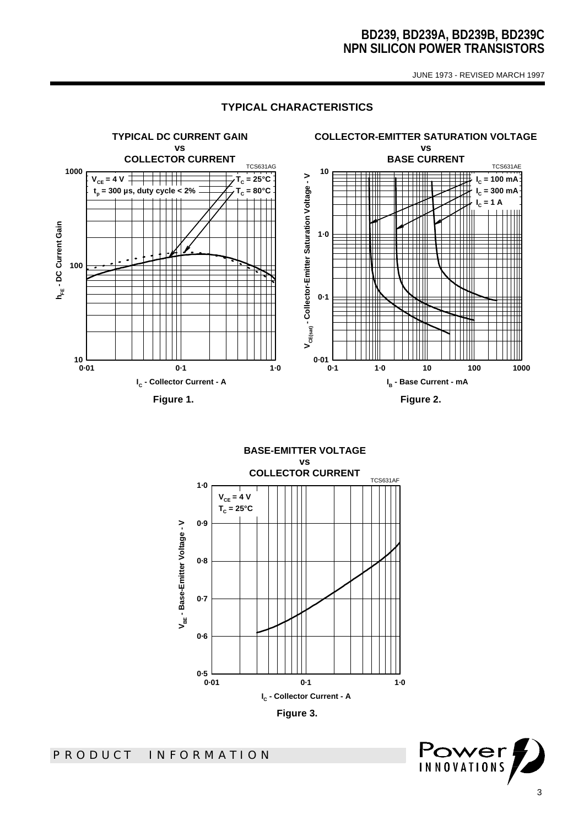JUNE 1973 - REVISED MARCH 1997

#### **TYPICAL CHARACTERISTICS**



**BASE-EMITTER VOLTAGE vs COLLECTOR CURRENT** TCS631AF **1·0**  $V_{CE} = 4 V$ **TC = 25°C0·9** V<sub>BE</sub> - Base-Emitter Voltage - V **VBE - Base-Emitter Voltage - V 0·8 0·7 0·6 0·5 0·01 0·1 1·0 IC - Collector Current - A Figure 3.** 

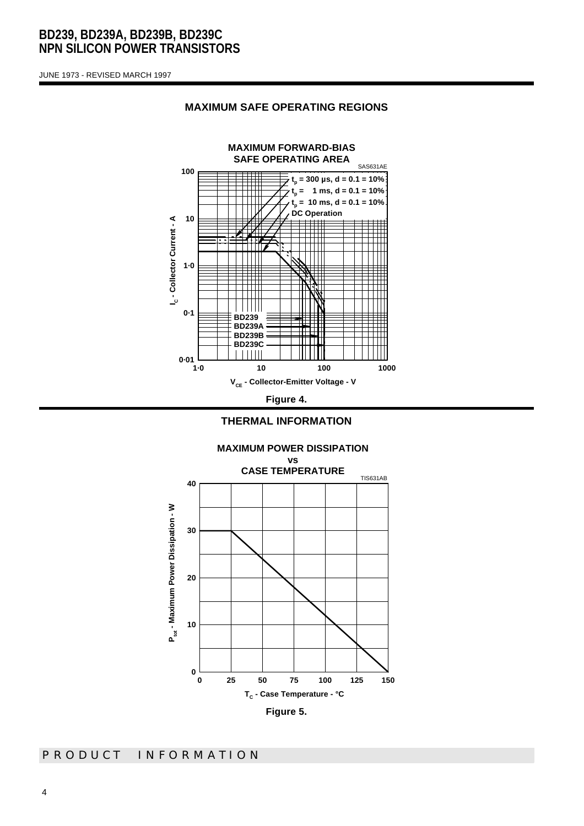JUNE 1973 - REVISED MARCH 1997









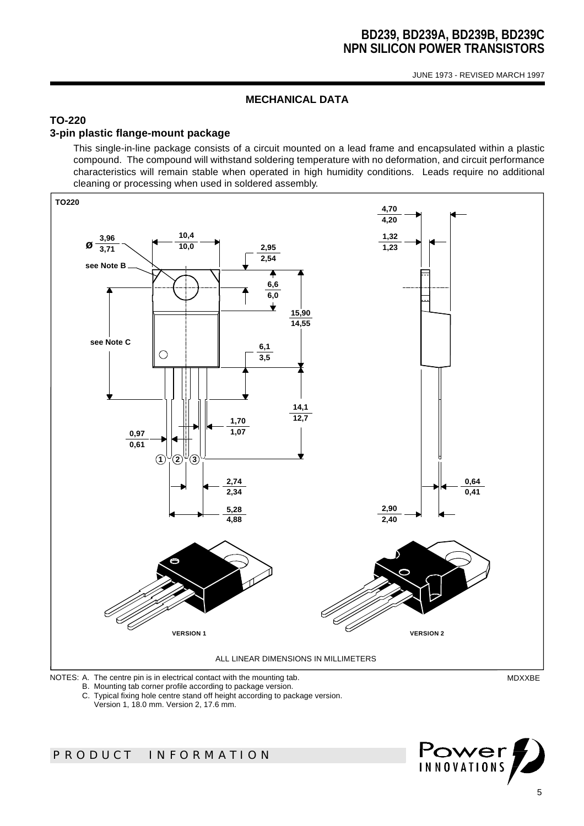JUNE 1973 - REVISED MARCH 1997

### **MECHANICAL DATA**

### **TO-220**

### **3-pin plastic flange-mount package**

This single-in-line package consists of a circuit mounted on a lead frame and encapsulated within a plastic compound. The compound will withstand soldering temperature with no deformation, and circuit performance characteristics will remain stable when operated in high humidity conditions. Leads require no additional cleaning or processing when used in soldered assembly.



B. Mounting tab corner profile according to package version.

C. Typical fixing hole centre stand off height according to package version.

Version 1, 18.0 mm. Version 2, 17.6 mm.